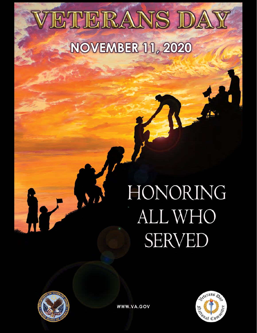# ETERANS DAY **NOVEMBER 11, 2020**

# HONORING ALL WHO **SERVED**





WWW.VA.GOV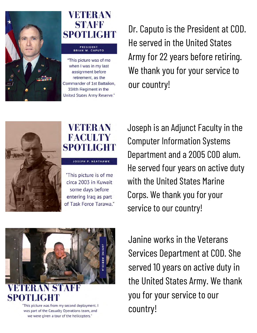

## **VETER AN STAFF SPOTLIGHT**

#### PRESIDENT **BRIAN W. CAPUTO**

"This picture was of me when I was in my last assignment before retirement, as the Commander of 1st Battalion, 334th Regiment in the United States Army Reserve."

Dr. Caputo is the President at COD. He served in the United States Army for 22 years before retiring. We thank you for your service to our country!



#### **VETERAN FACULTY SPOTLIGHT**

**JOSEPH P. NEATHAWK** 

"This picture is of me circa 2003 in Kuwait some days before entering Iraq as part of Task Force Tarawa." Joseph is an Adjunct Faculty in the Computer Information Systems Department and a 2005 COD alum. He served four years on active duty with the United States Marine Corps. We thank you for your service to our country!



SPOT

"This picture was from my second deployment. I was part of the Casualty Operations team, and we were given a tour of the helicopters."

Janine works in the Veterans Services Department at COD. She served 10 years on active duty in the United States Army. We thank you for your service to our country!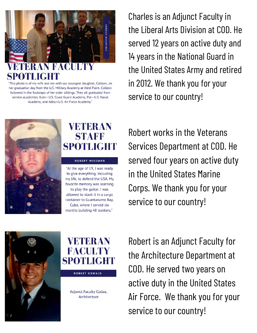

"This photo is of my wife and me with our youngest daughter, Colleen, on her graduation day from the U.S. Military Academy at West Point. Colleen followed in the footsteps of her older siblings. They all graduated from service academies: Kate-U.S. Coast Guard Academy, Pat-U.S. Naval Academy, and Abby-U.S. Air Force Academy."

Charles is an Adjunct Faculty in the Liberal Arts Division at COD. He served 12 years on active duty and 14 years in the National Guard in the United States Army and retired in 2012. We thank you for your service to our country!



### **VETER AN STAFF SPOTLIGHT**

#### **ROBERT WISEMAN**

"At the age of 19, I was ready to give everything, including my life, to defend the USA. My favorite memory was learning to play the quitar. I was allowed to stash it in a cargo container to Guantanamo Bay, Cuba, where I served six

months building 48 bunkers."

Robert works in the Veterans Services Department at COD. He served four years on active duty in the United States Marine Corps. We thank you for your service to our country!





Adjunct Faculty Codaa, Architecture

Robert is an Adjunct Faculty for the Architecture Department at COD. He served two years on active duty in the United States Air Force. We thank you for your service to our country!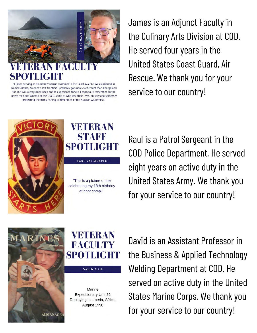

"I loved serving as an aircrew rescue swimmer in the Coast Guard. I was stationed in Kodiak Alaska, America's last frontier! I probably got more excitement than I bargained for, but will always look back on the experience fondly. I especially remember all the brave men and women of the USCG, some of who lost their lives, bravely and selflessly protecting the many fishing communities of the Alaskan wilderness."

James is an Adjunct Faculty in the Culinary Arts Division at COD. He served four years in the United States Coast Guard, Air Rescue. We thank you for your service to our country!



## **VETERAN** STAFF SPOTLIGHT

RAUL VALLADARES

"This is a picture of me celebrating my 18th birthday at boot camp."

Raul is a Patrol Sergeant in the COD Police Department. He served eight years on active duty in the United States Army. We thank you for your service to our country!



### **VETERAN FACHLTY** SPOTLIGHT

**DAVID ELLIS** 

Marine **Expeditionary Unit 26** Deploying to Liberia, Africa, August 1990

David is an Assistant Professor in the Business & Applied Technology Welding Department at COD. He served on active duty in the United States Marine Corps. We thank you for your service to our country!